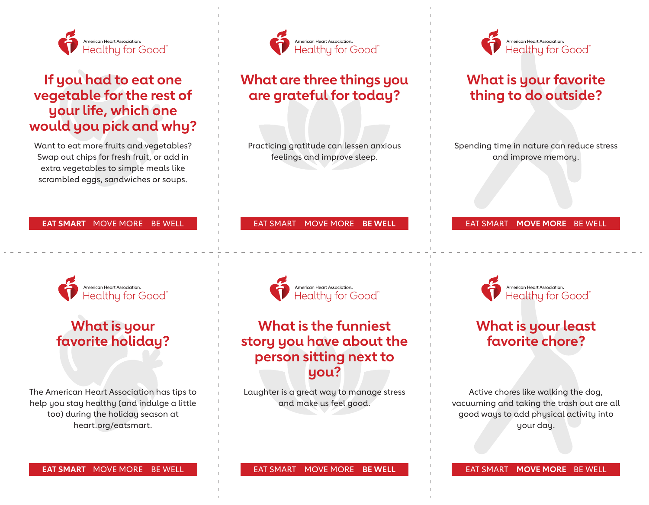

# **If you had to eat one vegetable for the rest of your life, which one would you pick and why?**

Want to eat more fruits and vegetables? Swap out chips for fresh fruit, or add in extra vegetables to simple meals like scrambled eggs, sandwiches or soups.

### **EAT SMART** MOVE MORE BE WELL



# **What is your favorite holiday?**

The American Heart Association has tips to help you stay healthy (and indulge a little too) during the holiday season at heart.org/eatsmart.



## **What are three things you are grateful for today?**

Practicing gratitude can lessen anxious feelings and improve sleep.

#### EAT SMART MOVE MORE **BE WELL**

American Heart Association.<br>Healthy for Good

### **What is the funniest story you have about the person sitting next to you?**

Laughter is a great way to manage stress and make us feel good.



### **What is your favorite thing to do outside?**

Spending time in nature can reduce stress and improve memory.

### EAT SMART **MOVE MORE** BE WELL



## **What is your least favorite chore?**

Active chores like walking the dog, vacuuming and taking the trash out are all good ways to add physical activity into your day.

**EAT SMART** MOVE MORE BE WELL

EAT SMART MOVE MORE **BE WELL**

EAT SMART **MOVE MORE** BE WELL